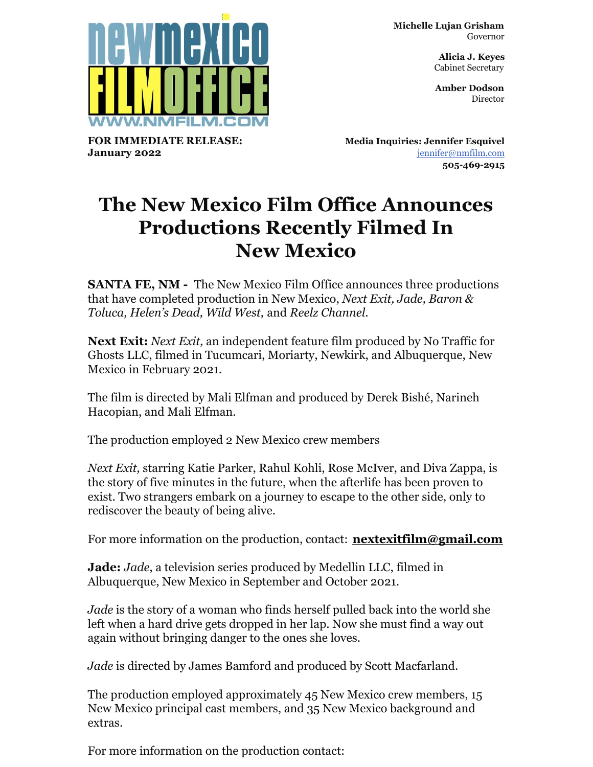

**FOR IMMEDIATE RELEASE: January 2022**

**Michelle Lujan Grisham** Governor

> **Alicia J. Keyes** Cabinet Secretary

> **Amber Dodson Director**

**Media Inquiries: Jennifer Esquivel** [jennifer@nmfilm.com](mailto:jennifer@nmfilm.com) **505-469-2915**

## **The New Mexico Film Office Announces Productions Recently Filmed In New Mexico**

**SANTA FE, NM -** The New Mexico Film Office announces three productions that have completed production in New Mexico, *Next Exit, Jade, Baron & Toluca, Helen's Dead, Wild West,* and *Reelz Channel*.

**Next Exit:** *Next Exit,* an independent feature film produced by No Traffic for Ghosts LLC, filmed in Tucumcari, Moriarty, Newkirk, and Albuquerque, New Mexico in February 2021.

The film is directed by Mali Elfman and produced by Derek Bishé, Narineh Hacopian, and Mali Elfman.

The production employed 2 New Mexico crew members

*Next Exit,* starring Katie Parker, Rahul Kohli, Rose McIver, and Diva Zappa, is the story of five minutes in the future, when the afterlife has been proven to exist. Two strangers embark on a journey to escape to the other side, only to rediscover the beauty of being alive.

For more information on the production, contact: **[nextexitfilm@gmail.com](mailto:nextexitfilm@gmail.com)**

**Jade:** *Jade*, a television series produced by Medellin LLC, filmed in Albuquerque, New Mexico in September and October 2021.

*Jade* is the story of a woman who finds herself pulled back into the world she left when a hard drive gets dropped in her lap. Now she must find a way out again without bringing danger to the ones she loves.

*Jade* is directed by James Bamford and produced by Scott Macfarland.

The production employed approximately 45 New Mexico crew members, 15 New Mexico principal cast members, and 35 New Mexico background and extras.

For more information on the production contact: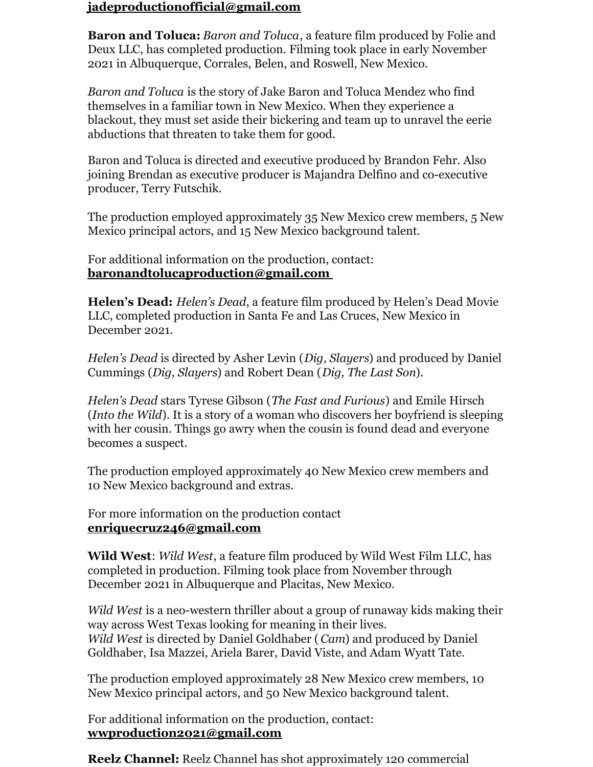## **[jadeproductionofficial@gmail.com](mailto:jadeproductionofficial@gmail.com)**

**Baron and Toluca:** *Baron and Toluca*, a feature film produced by Folie and Deux LLC, has completed production. Filming took place in early November 2021 in Albuquerque, Corrales, Belen, and Roswell, New Mexico.

*Baron and Toluca* is the story of Jake Baron and Toluca Mendez who find themselves in a familiar town in New Mexico. When they experience a blackout, they must set aside their bickering and team up to unravel the eerie abductions that threaten to take them for good.

Baron and Toluca is directed and executive produced by Brandon Fehr. Also joining Brendan as executive producer is Majandra Delfino and co-executive producer, Terry Futschik.

The production employed approximately 35 New Mexico crew members, 5 New Mexico principal actors, and 15 New Mexico background talent.

For additional information on the production, contact: **[baronandtolucaproduction@gmail.com](mailto:baronandtolucaproduction@gmail.com)**

**Helen's Dead:** *Helen's Dead*, a feature film produced by Helen's Dead Movie LLC, completed production in Santa Fe and Las Cruces, New Mexico in December 2021.

*Helen's Dead* is directed by Asher Levin (*Dig, Slayers*) and produced by Daniel Cummings (*Dig, Slayers*) and Robert Dean (*Dig, The Last Son*).

*Helen's Dead* stars Tyrese Gibson (*The Fast and Furious*) and Emile Hirsch (*Into the Wild*). It is a story of a woman who discovers her boyfriend is sleeping with her cousin. Things go awry when the cousin is found dead and everyone becomes a suspect.

The production employed approximately 40 New Mexico crew members and 10 New Mexico background and extras.

For more information on the production contact **[enriquecruz246@gmail.com](mailto:enriquecruz246@gmail.com)**

**Wild West**: *Wild West*, a feature film produced by Wild West Film LLC, has completed in production. Filming took place from November through December 2021 in Albuquerque and Placitas, New Mexico.

*Wild West* is a neo-western thriller about a group of runaway kids making their way across West Texas looking for meaning in their lives. *Wild West* is directed by Daniel Goldhaber (*Cam*) and produced by Daniel Goldhaber, Isa Mazzei, Ariela Barer, David Viste, and Adam Wyatt Tate.

The production employed approximately 28 New Mexico crew members, 10 New Mexico principal actors, and 50 New Mexico background talent.

For additional information on the production, contact: **[wwproduction2021@gmail.com](mailto:wwproduction2021@gmail.com)**

**Reelz Channel:** Reelz Channel has shot approximately 120 commercial